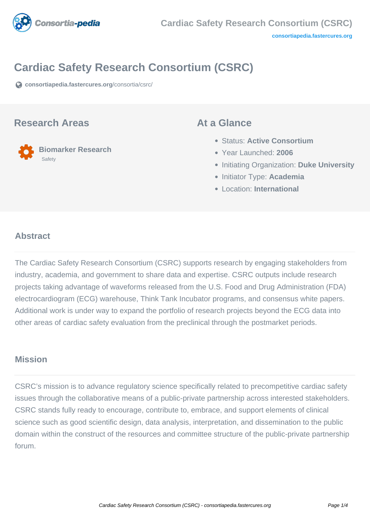

# **Cardiac Safety Research Consortium (CSRC)**

**[consortiapedia.fastercures.org](https://consortiapedia.fastercures.org/consortia/csrc/)**[/consortia/csrc/](https://consortiapedia.fastercures.org/consortia/csrc/)

#### **Research Areas**

 **Biomarker Research Safety** 

### **At a Glance**

- Status: **Active Consortium**
- Year Launched: **2006**
- **Initiating Organization: Duke University**
- **Initiator Type: Academia**
- Location: **International**

#### $\overline{a}$ **Abstract**

The Cardiac Safety Research Consortium (CSRC) supports research by engaging stakeholders from industry, academia, and government to share data and expertise. CSRC outputs include research projects taking advantage of waveforms released from the U.S. Food and Drug Administration (FDA) electrocardiogram (ECG) warehouse, Think Tank Incubator programs, and consensus white papers. Additional work is under way to expand the portfolio of research projects beyond the ECG data into other areas of cardiac safety evaluation from the preclinical through the postmarket periods.

## **Mission**

CSRC's mission is to advance regulatory science specifically related to precompetitive cardiac safety issues through the collaborative means of a public-private partnership across interested stakeholders. CSRC stands fully ready to encourage, contribute to, embrace, and support elements of clinical science such as good scientific design, data analysis, interpretation, and dissemination to the public domain within the construct of the resources and committee structure of the public-private partnership forum.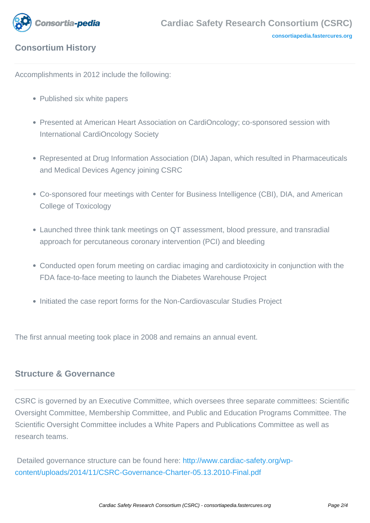

# **Consortium History**

Accomplishments in 2012 include the following:

- Published six white papers
- Presented at American Heart Association on CardiOncology; co-sponsored session with International CardiOncology Society
- Represented at Drug Information Association (DIA) Japan, which resulted in Pharmaceuticals and Medical Devices Agency joining CSRC
- Co-sponsored four meetings with Center for Business Intelligence (CBI), DIA, and American College of Toxicology
- Launched three think tank meetings on QT assessment, blood pressure, and transradial approach for percutaneous coronary intervention (PCI) and bleeding
- Conducted open forum meeting on cardiac imaging and cardiotoxicity in conjunction with the FDA face-to-face meeting to launch the Diabetes Warehouse Project
- Initiated the case report forms for the Non-Cardiovascular Studies Project

The first annual meeting took place in 2008 and remains an annual event.

## **Structure & Governance**

CSRC is governed by an Executive Committee, which oversees three separate committees: Scientific Oversight Committee, Membership Committee, and Public and Education Programs Committee. The Scientific Oversight Committee includes a White Papers and Publications Committee as well as research teams.

 Detailed governance structure can be found here: [http://www.cardiac-safety.org/wp](http://www.cardiac-safety.org/wp-content/uploads/2014/11/CSRC-Governance-Charter-05.13.2010-Final.pdf)[content/uploads/2014/11/CSRC-Governance-Charter-05.13.2010-Final.pdf](http://www.cardiac-safety.org/wp-content/uploads/2014/11/CSRC-Governance-Charter-05.13.2010-Final.pdf)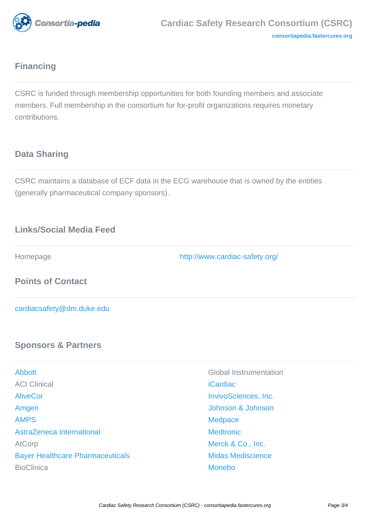

# **Financing**

CSRC is funded through membership opportunities for both founding members and associate members. Full membership in the consortium for for-profit organizations requires monetary contributions.

# **Data Sharing**

CSRC maintains a database of ECF data in the ECG warehouse that is owned by the entities (generally pharmaceutical company sponsors).

# **Links/Social Media Feed**

Homepage <http://www.cardiac-safety.org/>

**Points of Contact**

[cardiacsafety@dm.duke.edu](mailto:cardiacsafety@dm.duke.edu)

## **Sponsors & Partners**

| <b>Abbott</b>                           | Global II       |
|-----------------------------------------|-----------------|
| <b>ACI Clinical</b>                     | <b>iCardiac</b> |
| <b>AliveCor</b>                         | <b>InvivoSo</b> |
| Amgen                                   | Johnsor         |
| <b>AMPS</b>                             | <b>Medpac</b>   |
| AstraZeneca International               | <b>Medtron</b>  |
| <b>AtCorp</b>                           | Merck &         |
| <b>Bayer Healthcare Pharmaceuticals</b> | Midas M         |
| <b>BioClinica</b>                       | <b>Monebo</b>   |
|                                         |                 |

**Global Instrumentation [InvivoSciences, Inc.](http://www.invivosciences.com/)** [Amgen](http://www.amgen.com/) [Johnson & Johnson](http://www.jnj.com/connect/) **[Medpace](http://www.medpace.com/) [Medtronic](http://www.medtronic.com/)** [Merck & Co., Inc.](http://www.merck.com/index.html) [Bayer Healthcare Pharmaceuticals](http://www.bayer.com/) [Midas Mediscience](http://www.midasmediscience.com/)